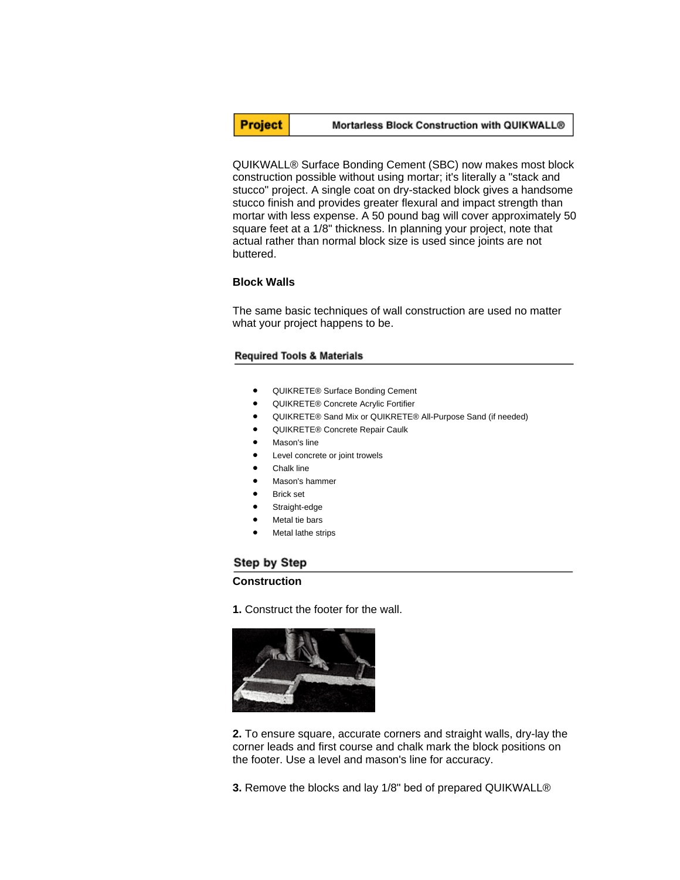

### Mortarless Block Construction with QUIKWALL®

QUIKWALL® Surface Bonding Cement (SBC) now makes most block construction possible without using mortar; it's literally a "stack and stucco" project. A single coat on dry-stacked block gives a handsome stucco finish and provides greater flexural and impact strength than mortar with less expense. A 50 pound bag will cover approximately 50 square feet at a 1/8" thickness. In planning your project, note that actual rather than normal block size is used since joints are not buttered.

### **Block Walls**

The same basic techniques of wall construction are used no matter what your project happens to be.

### **Required Tools & Materials**

- QUIKRETE® Surface Bonding Cement
- QUIKRETE® Concrete Acrylic Fortifier
- QUIKRETE® Sand Mix or QUIKRETE® All-Purpose Sand (if needed)
- QUIKRETE® Concrete Repair Caulk
- Mason's line
- Level concrete or joint trowels
- Chalk line
- Mason's hammer
- **Brick set**
- Straight-edge
- Metal tie bars
- Metal lathe strips

# Step by Step

## **Construction**

**1.** Construct the footer for the wall.



**2.** To ensure square, accurate corners and straight walls, dry-lay the corner leads and first course and chalk mark the block positions on the footer. Use a level and mason's line for accuracy.

**3.** Remove the blocks and lay 1/8" bed of prepared QUIKWALL®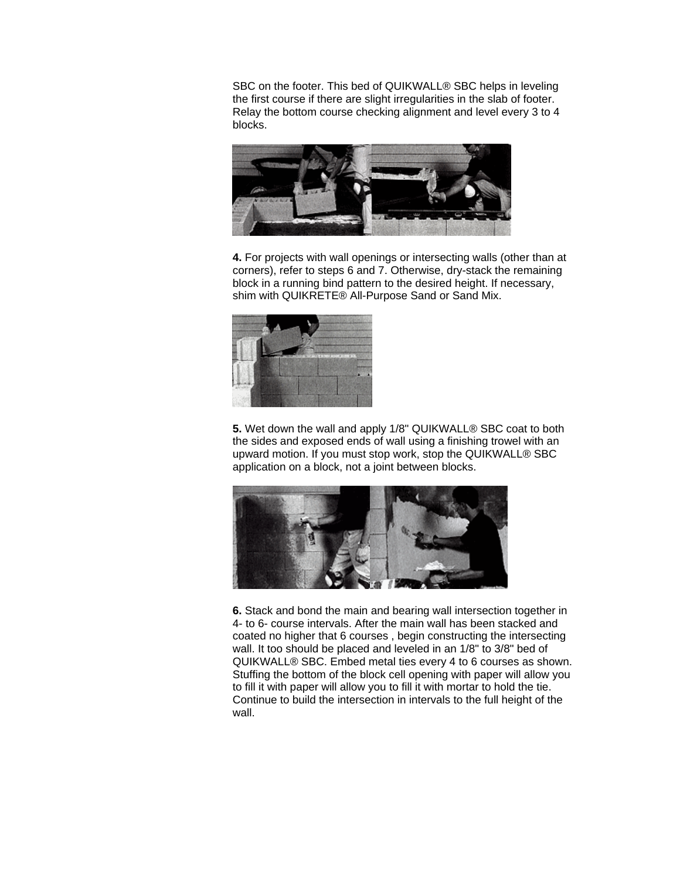SBC on the footer. This bed of QUIKWALL® SBC helps in leveling the first course if there are slight irregularities in the slab of footer. Relay the bottom course checking alignment and level every 3 to 4 blocks.



**4.** For projects with wall openings or intersecting walls (other than at corners), refer to steps 6 and 7. Otherwise, dry-stack the remaining block in a running bind pattern to the desired height. If necessary, shim with QUIKRETE® All-Purpose Sand or Sand Mix.



**5.** Wet down the wall and apply 1/8" QUIKWALL® SBC coat to both the sides and exposed ends of wall using a finishing trowel with an upward motion. If you must stop work, stop the QUIKWALL® SBC application on a block, not a joint between blocks.



**6.** Stack and bond the main and bearing wall intersection together in 4- to 6- course intervals. After the main wall has been stacked and coated no higher that 6 courses , begin constructing the intersecting wall. It too should be placed and leveled in an 1/8" to 3/8" bed of QUIKWALL® SBC. Embed metal ties every 4 to 6 courses as shown. Stuffing the bottom of the block cell opening with paper will allow you to fill it with paper will allow you to fill it with mortar to hold the tie. Continue to build the intersection in intervals to the full height of the wall.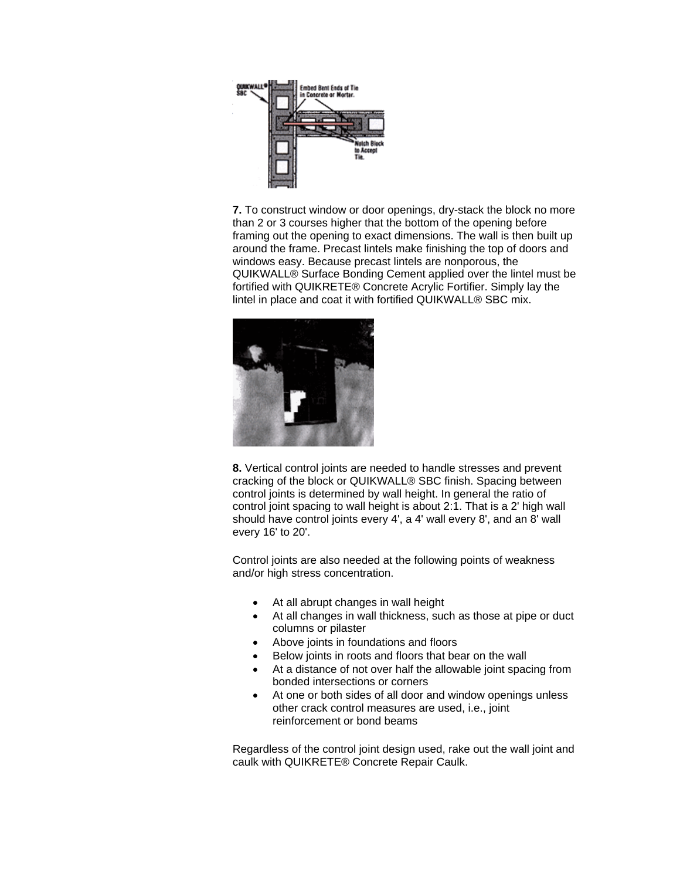

**7.** To construct window or door openings, dry-stack the block no more than 2 or 3 courses higher that the bottom of the opening before framing out the opening to exact dimensions. The wall is then built up around the frame. Precast lintels make finishing the top of doors and windows easy. Because precast lintels are nonporous, the QUIKWALL® Surface Bonding Cement applied over the lintel must be fortified with QUIKRETE® Concrete Acrylic Fortifier. Simply lay the lintel in place and coat it with fortified QUIKWALL® SBC mix.



**8.** Vertical control joints are needed to handle stresses and prevent cracking of the block or QUIKWALL® SBC finish. Spacing between control joints is determined by wall height. In general the ratio of control joint spacing to wall height is about 2:1. That is a 2' high wall should have control joints every 4', a 4' wall every 8', and an 8' wall every 16' to 20'.

Control joints are also needed at the following points of weakness and/or high stress concentration.

- At all abrupt changes in wall height
- At all changes in wall thickness, such as those at pipe or duct columns or pilaster
- Above joints in foundations and floors
- Below joints in roots and floors that bear on the wall
- At a distance of not over half the allowable joint spacing from bonded intersections or corners
- At one or both sides of all door and window openings unless other crack control measures are used, i.e., joint reinforcement or bond beams

Regardless of the control joint design used, rake out the wall joint and caulk with QUIKRETE® Concrete Repair Caulk.